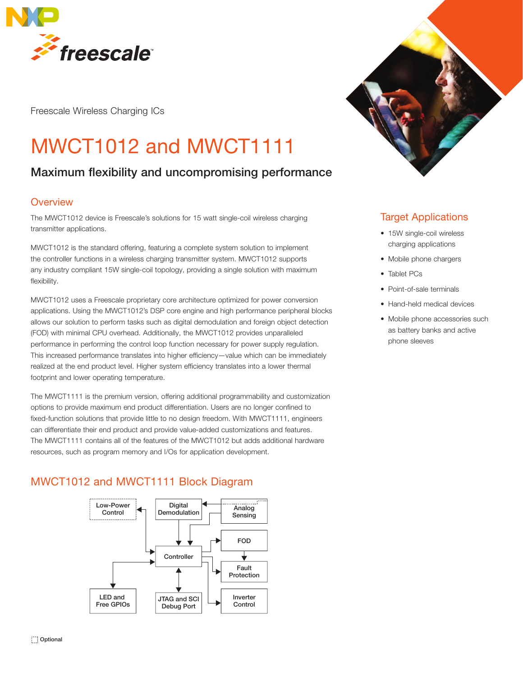

Freescale Wireless Charging ICs

# MWCT1012 and MWCT1111

# Maximum flexibility and uncompromising performance

## **Overview**

The MWCT1012 device is Freescale's solutions for 15 watt single-coil wireless charging transmitter applications.

MWCT1012 is the standard offering, featuring a complete system solution to implement the controller functions in a wireless charging transmitter system. MWCT1012 supports any industry compliant 15W single-coil topology, providing a single solution with maximum flexibility.

MWCT1012 uses a Freescale proprietary core architecture optimized for power conversion applications. Using the MWCT1012's DSP core engine and high performance peripheral blocks allows our solution to perform tasks such as digital demodulation and foreign object detection (FOD) with minimal CPU overhead. Additionally, the MWCT1012 provides unparalleled performance in performing the control loop function necessary for power supply regulation. This increased performance translates into higher efficiency—value which can be immediately realized at the end product level. Higher system efficiency translates into a lower thermal footprint and lower operating temperature.

The MWCT1111 is the premium version, offering additional programmability and customization options to provide maximum end product differentiation. Users are no longer confined to fixed-function solutions that provide little to no design freedom. With MWCT1111, engineers can differentiate their end product and provide value-added customizations and features. The MWCT1111 contains all of the features of the MWCT1012 but adds additional hardware resources, such as program memory and I/Os for application development.

# MWCT1012 and MWCT1111 Block Diagram





## Target Applications

- 15W single-coil wireless charging applications
- Mobile phone chargers
- Tablet PCs
- Point-of-sale terminals
- Hand-held medical devices
- Mobile phone accessories such as battery banks and active phone sleeves